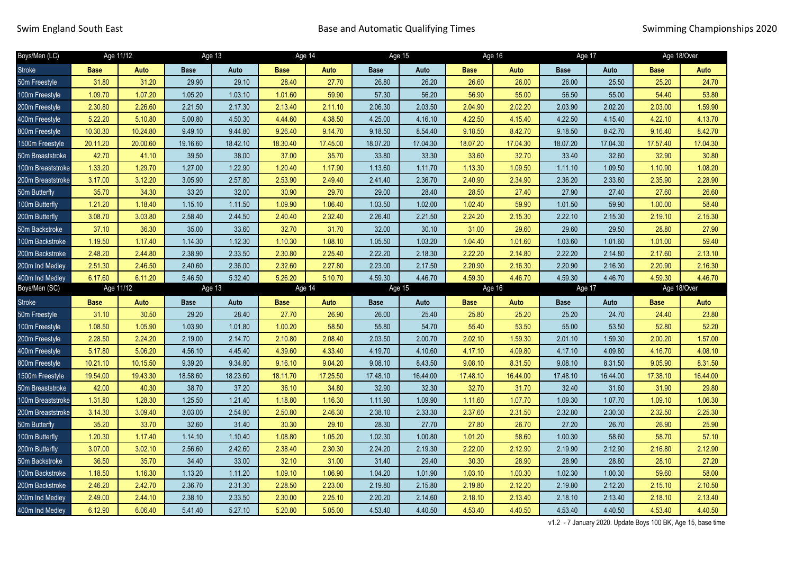| Boys/Men (LC)     | Age 11/12   |           | Age 13      |          | Age 14      |          | Age 15      |          | Age 16      |          | Age 17      |          | Age 18/Over |          |
|-------------------|-------------|-----------|-------------|----------|-------------|----------|-------------|----------|-------------|----------|-------------|----------|-------------|----------|
| <b>Stroke</b>     | <b>Base</b> | Auto      | <b>Base</b> | Auto     | <b>Base</b> | Auto     | <b>Base</b> | Auto     | <b>Base</b> | Auto     | <b>Base</b> | Auto     | <b>Base</b> | Auto     |
| 50m Freestyle     | 31.80       | 31.20     | 29.90       | 29.10    | 28.40       | 27.70    | 26.80       | 26.20    | 26.60       | 26.00    | 26.00       | 25.50    | 25.20       | 24.70    |
| 100m Freestyle    | 1.09.70     | 1.07.20   | 1.05.20     | 1.03.10  | 1.01.60     | 59.90    | 57.30       | 56.20    | 56.90       | 55.00    | 56.50       | 55.00    | 54.40       | 53.80    |
| 200m Freestyle    | 2.30.80     | 2.26.60   | 2.21.50     | 2.17.30  | 2.13.40     | 2.11.10  | 2.06.30     | 2.03.50  | 2.04.90     | 2.02.20  | 2.03.90     | 2.02.20  | 2.03.00     | 1.59.90  |
| 400m Freestyle    | 5.22.20     | 5.10.80   | 5.00.80     | 4.50.30  | 4.44.60     | 4.38.50  | 4.25.00     | 4.16.10  | 4.22.50     | 4.15.40  | 4.22.50     | 4.15.40  | 4.22.10     | 4.13.70  |
| 800m Freestyle    | 10.30.30    | 10.24.80  | 9.49.10     | 9.44.80  | 9.26.40     | 9.14.70  | 9.18.50     | 8.54.40  | 9.18.50     | 8.42.70  | 9.18.50     | 8.42.70  | 9.16.40     | 8.42.70  |
| 1500m Freestyle   | 20.11.20    | 20.00.60  | 19.16.60    | 18.42.10 | 18.30.40    | 17.45.00 | 18.07.20    | 17.04.30 | 18.07.20    | 17.04.30 | 18.07.20    | 17.04.30 | 17.57.40    | 17.04.30 |
| 50m Breaststroke  | 42.70       | 41.10     | 39.50       | 38.00    | 37.00       | 35.70    | 33.80       | 33.30    | 33.60       | 32.70    | 33.40       | 32.60    | 32.90       | 30.80    |
| 100m Breaststroke | 1.33.20     | 1.29.70   | 1.27.00     | 1.22.90  | 1.20.40     | 1.17.90  | 1.13.60     | 1.11.70  | 1.13.30     | 1.09.50  | 1.11.10     | 1.09.50  | 1.10.90     | 1.08.20  |
| 200m Breaststroke | 3.17.00     | 3.12.20   | 3.05.90     | 2.57.80  | 2.53.90     | 2.49.40  | 2.41.40     | 2.36.70  | 2.40.90     | 2.34.90  | 2.36.20     | 2.33.80  | 2.35.90     | 2.28.90  |
| 50m Butterfly     | 35.70       | 34.30     | 33.20       | 32.00    | 30.90       | 29.70    | 29.00       | 28.40    | 28.50       | 27.40    | 27.90       | 27.40    | 27.60       | 26.60    |
| 100m Butterfly    | 1.21.20     | 1.18.40   | 1.15.10     | 1.11.50  | 1.09.90     | 1.06.40  | 1.03.50     | 1.02.00  | 1.02.40     | 59.90    | 1.01.50     | 59.90    | 1.00.00     | 58.40    |
| 200m Butterfly    | 3.08.70     | 3.03.80   | 2.58.40     | 2.44.50  | 2.40.40     | 2.32.40  | 2.26.40     | 2.21.50  | 2.24.20     | 2.15.30  | 2.22.10     | 2.15.30  | 2.19.10     | 2.15.30  |
| 50m Backstroke    | 37.10       | 36.30     | 35.00       | 33.60    | 32.70       | 31.70    | 32.00       | 30.10    | 31.00       | 29.60    | 29.60       | 29.50    | 28.80       | 27.90    |
| 100m Backstroke   | 1.19.50     | 1.17.40   | 1.14.30     | 1.12.30  | 1.10.30     | 1.08.10  | 1.05.50     | 1.03.20  | 1.04.40     | 1.01.60  | 1.03.60     | 1.01.60  | 1.01.00     | 59.40    |
| 200m Backstroke   | 2.48.20     | 2.44.80   | 2.38.90     | 2.33.50  | 2.30.80     | 2.25.40  | 2.22.20     | 2.18.30  | 2.22.20     | 2.14.80  | 2.22.20     | 2.14.80  | 2.17.60     | 2.13.10  |
| 200m Ind Medley   | 2.51.30     | 2.46.50   | 2.40.60     | 2.36.00  | 2.32.60     | 2.27.80  | 2.23.00     | 2.17.50  | 2.20.90     | 2.16.30  | 2.20.90     | 2.16.30  | 2.20.90     | 2.16.30  |
| 400m Ind Medlev   | 6.17.60     | 6.11.20   | 5.46.50     | 5.32.40  | 5.26.20     | 5.10.70  | 4.59.30     | 4.46.70  | 4.59.30     | 4.46.70  | 4.59.30     | 4 46 70  | 4.59.30     | 4.46.70  |
|                   |             |           |             |          |             |          |             |          |             |          |             |          |             |          |
| Boys/Men (SC)     |             | Age 11/12 |             | Age 13   | Age 14      |          |             | Age 15   |             | Age 16   | Age 17      |          | Age 18/Over |          |
| <b>Stroke</b>     | <b>Base</b> | Auto      | <b>Base</b> | Auto     | <b>Base</b> | Auto     | <b>Base</b> | Auto     | <b>Base</b> | Auto     | <b>Base</b> | Auto     | <b>Base</b> | Auto     |
| 50m Freestyle     | 31.10       | 30.50     | 29.20       | 28.40    | 27.70       | 26.90    | 26.00       | 25.40    | 25.80       | 25.20    | 25.20       | 24.70    | 24.40       | 23.80    |
| 100m Freestyle    | 1.08.50     | 1.05.90   | 1.03.90     | 1.01.80  | 1.00.20     | 58.50    | 55.80       | 54.70    | 55.40       | 53.50    | 55.00       | 53.50    | 52.80       | 52.20    |
| 200m Freestyle    | 2.28.50     | 2.24.20   | 2.19.00     | 2.14.70  | 2.10.80     | 2.08.40  | 2.03.50     | 2.00.70  | 2.02.10     | 1.59.30  | 2.01.10     | 1.59.30  | 2.00.20     | 1.57.00  |
| 400m Freestyle    | 5.17.80     | 5.06.20   | 4.56.10     | 4.45.40  | 4.39.60     | 4.33.40  | 4.19.70     | 4.10.60  | 4.17.10     | 4.09.80  | 4.17.10     | 4.09.80  | 4.16.70     | 4.08.10  |
| 800m Freestyle    | 10.21.10    | 10.15.50  | 9.39.20     | 9.34.80  | 9.16.10     | 9.04.20  | 9.08.10     | 8.43.50  | 9.08.10     | 8.31.50  | 9.08.10     | 8.31.50  | 9.05.90     | 8.31.50  |
| 1500m Freestyle   | 19.54.00    | 19.43.30  | 18.58.60    | 18.23.60 | 18.11.70    | 17.25.50 | 17.48.10    | 16.44.00 | 17.48.10    | 16.44.00 | 17.48.10    | 16.44.00 | 17.38.10    | 16.44.00 |
| 50m Breaststroke  | 42.00       | 40.30     | 38.70       | 37.20    | 36.10       | 34.80    | 32.90       | 32.30    | 32.70       | 31.70    | 32.40       | 31.60    | 31.90       | 29.80    |
| 100m Breaststroke | 1.31.80     | 1.28.30   | 1.25.50     | 1.21.40  | 1.18.80     | 1.16.30  | 1.11.90     | 1.09.90  | 1.11.60     | 1.07.70  | 1.09.30     | 1.07.70  | 1.09.10     | 1.06.30  |
| 200m Breaststroke | 3.14.30     | 3.09.40   | 3.03.00     | 2.54.80  | 2.50.80     | 2.46.30  | 2.38.10     | 2.33.30  | 2.37.60     | 2.31.50  | 2.32.80     | 2.30.30  | 2.32.50     | 2.25.30  |
| 50m Butterfly     | 35.20       | 33.70     | 32.60       | 31.40    | 30.30       | 29.10    | 28.30       | 27.70    | 27.80       | 26.70    | 27.20       | 26.70    | 26.90       | 25.90    |
| 100m Butterfly    | 1.20.30     | 1.17.40   | 1.14.10     | 1.10.40  | 1.08.80     | 1.05.20  | 1.02.30     | 1.00.80  | 1.01.20     | 58.60    | 1.00.30     | 58.60    | 58.70       | 57.10    |
| 200m Butterfly    | 3.07.00     | 3.02.10   | 2.56.60     | 2.42.60  | 2.38.40     | 2.30.30  | 2.24.20     | 2.19.30  | 2.22.00     | 2.12.90  | 2.19.90     | 2.12.90  | 2.16.80     | 2.12.90  |
| 50m Backstroke    | 36.50       | 35.70     | 34.40       | 33.00    | 32.10       | 31.00    | 31.40       | 29.40    | 30.30       | 28.90    | 28.90       | 28.80    | 28.10       | 27.20    |
| 100m Backstroke   | 1.18.50     | 1.16.30   | 1.13.20     | 1.11.20  | 1.09.10     | 1.06.90  | 1.04.20     | 1.01.90  | 1.03.10     | 1.00.30  | 1.02.30     | 1.00.30  | 59.60       | 58.00    |
| 200m Backstroke   | 2.46.20     | 2.42.70   | 2.36.70     | 2.31.30  | 2.28.50     | 2.23.00  | 2.19.80     | 2.15.80  | 2.19.80     | 2.12.20  | 2.19.80     | 2.12.20  | 2.15.10     | 2.10.50  |
| 200m Ind Medley   | 2.49.00     | 2.44.10   | 2.38.10     | 2.33.50  | 2.30.00     | 2.25.10  | 2.20.20     | 2.14.60  | 2.18.10     | 2.13.40  | 2.18.10     | 2.13.40  | 2.18.10     | 2.13.40  |

v1.2 - 7 January 2020. Update Boys 100 BK, Age 15, base time